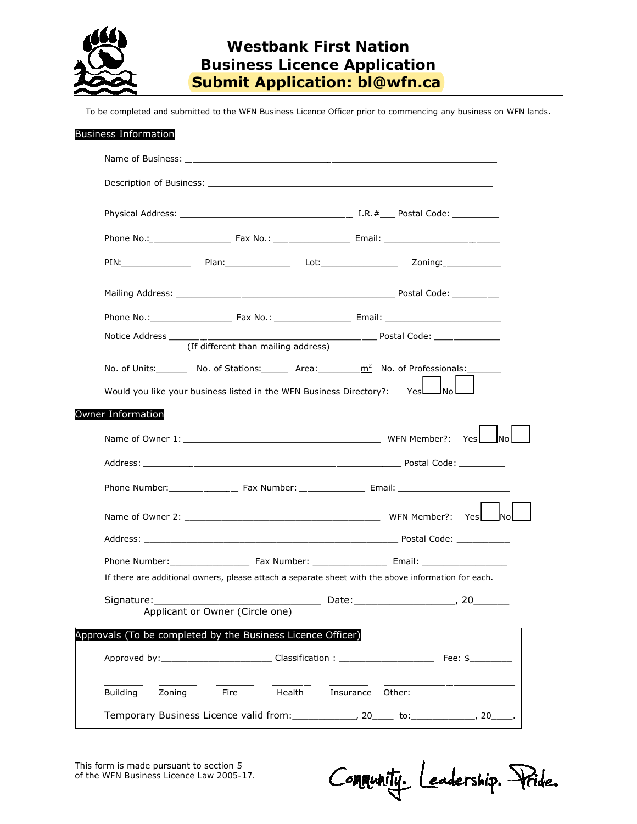

## **Westbank First Nation Business Licence Application Submit Application: bl@wfn.ca**

To be completed and submitted to the WFN Business Licence Officer prior to commencing any business on WFN lands.

|                          | (If different than mailing address)                                                                 |  |          |  |
|--------------------------|-----------------------------------------------------------------------------------------------------|--|----------|--|
|                          | No. of Units: No. of Stations: No. 2 Area: $\frac{m^2}{2}$ No. of Professionals:                    |  |          |  |
|                          | Would you like your business listed in the WFN Business Directory?: Yes                             |  |          |  |
| <b>Owner Information</b> |                                                                                                     |  |          |  |
|                          |                                                                                                     |  |          |  |
|                          |                                                                                                     |  |          |  |
|                          |                                                                                                     |  |          |  |
|                          |                                                                                                     |  |          |  |
|                          |                                                                                                     |  |          |  |
|                          |                                                                                                     |  |          |  |
|                          |                                                                                                     |  |          |  |
|                          | If there are additional owners, please attach a separate sheet with the above information for each. |  |          |  |
|                          |                                                                                                     |  | Date: 20 |  |
| Signature: Signature:    | Applicant or Owner (Circle one)                                                                     |  |          |  |
|                          | Approvals (To be completed by the Business Licence Officer)                                         |  |          |  |
|                          | Approved by: _________________________________Classification: ___________________                   |  | Fee: \$  |  |

This form is made pursuant to section 5 of the *WFN Business Licence Law 2005-17.*

Community. Leadership. Pride.